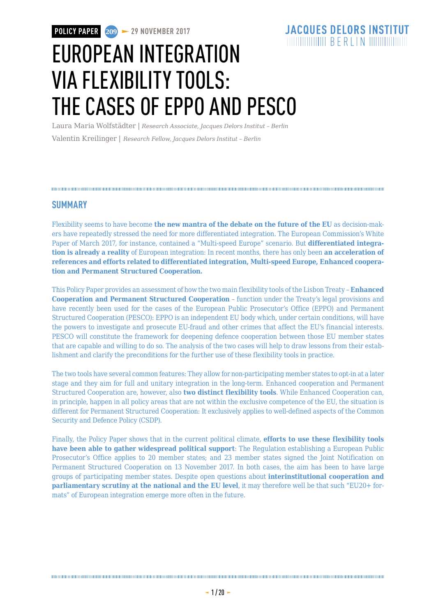# EUROPEAN INTEGRATION VIA FLEXIBILITY TOOLS: THE CASES OF EPPO AND PESCO

Laura Maria Wolfstädter | *Research Associate, Jacques Delors Institut – Berlin* Valentin Kreilinger | *Research Fellow, Jacques Delors Institut – Berlin* 

### **SUMMARY**

Flexibility seems to have become **the new mantra of the debate on the future of the EU** as decision-makers have repeatedly stressed the need for more differentiated integration. The European Commission's White Paper of March 2017, for instance, contained a "Multi-speed Europe" scenario. But **differentiated integration is already a reality** of European integration: In recent months, there has only been **an acceleration of references and efforts related to differentiated integration, Multi-speed Europe, Enhanced cooperation and Permanent Structured Cooperation.** 

This Policy Paper provides an assessment of how the two main flexibility tools of the Lisbon Treaty – **Enhanced Cooperation and Permanent Structured Cooperation** – function under the Treaty's legal provisions and have recently been used for the cases of the European Public Prosecutor's Office (EPPO) and Permanent Structured Cooperation (PESCO): EPPO is an independent EU body which, under certain conditions, will have the powers to investigate and prosecute EU-fraud and other crimes that affect the EU's financial interests. PESCO will constitute the framework for deepening defence cooperation between those EU member states that are capable and willing to do so. The analysis of the two cases will help to draw lessons from their establishment and clarify the preconditions for the further use of these flexibility tools in practice.

The two tools have several common features: They allow for non-participating member states to opt-in at a later stage and they aim for full and unitary integration in the long-term. Enhanced cooperation and Permanent Structured Cooperation are, however, also **two distinct flexibility tools**. While Enhanced Cooperation can, in principle, happen in all policy areas that are not within the exclusive competence of the EU, the situation is different for Permanent Structured Cooperation: It exclusively applies to well-defined aspects of the Common Security and Defence Policy (CSDP).

Finally, the Policy Paper shows that in the current political climate, **efforts to use these flexibility tools have been able to gather widespread political support**: The Regulation establishing a European Public Prosecutor's Office applies to 20 member states; and 23 member states signed the Joint Notification on Permanent Structured Cooperation on 13 November 2017. In both cases, the aim has been to have large groups of participating member states. Despite open questions about **interinstitutional cooperation and parliamentary scrutiny at the national and the EU level**, it may therefore well be that such "EU20+ formats" of European integration emerge more often in the future.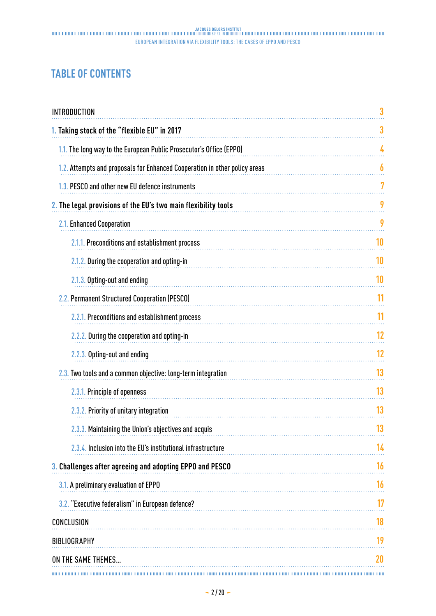# **TABLE OF CONTENTS**

| <b>INTRODUCTION</b>                                                        | 3                |
|----------------------------------------------------------------------------|------------------|
| 1. Taking stock of the "flexible EU" in 2017                               | 3                |
| 1.1. The long way to the European Public Prosecutor's Office (EPPO)        | 4                |
| 1.2. Attempts and proposals for Enhanced Cooperation in other policy areas | $\boldsymbol{6}$ |
| 1.3. PESCO and other new EU defence instruments                            | 7                |
| 2. The legal provisions of the EU's two main flexibility tools             | 9                |
| 2.1. Enhanced Cooperation                                                  | 9                |
| 2.1.1. Preconditions and establishment process                             | 10               |
| 2.1.2. During the cooperation and opting-in                                | 10               |
| 2.1.3. Opting-out and ending                                               | 10               |
| 2.2. Permanent Structured Cooperation (PESCO)                              | 11               |
| 2.2.1. Preconditions and establishment process                             | 11               |
| 2.2.2. During the cooperation and opting-in                                | 12               |
| 2.2.3. Opting-out and ending                                               | 12               |
| 2.3. Two tools and a common objective: long-term integration               | 13               |
| 2.3.1. Principle of openness                                               | 13               |
| 2.3.2. Priority of unitary integration                                     | 13               |
| 2.3.3. Maintaining the Union's objectives and acquis                       | 13               |
| 2.3.4. Inclusion into the EU's institutional infrastructure                | 14               |
| 3. Challenges after agreeing and adopting EPPO and PESCO                   | 16               |
| 3.1. A preliminary evaluation of EPPO                                      | 16               |
| 3.2. "Executive federalism" in European defence?                           | 17               |
| CONCLUSION                                                                 | 18               |
| <b>BIBLIOGRAPHY</b>                                                        | 19               |
| ON THE SAME THEMES                                                         | 20               |
|                                                                            |                  |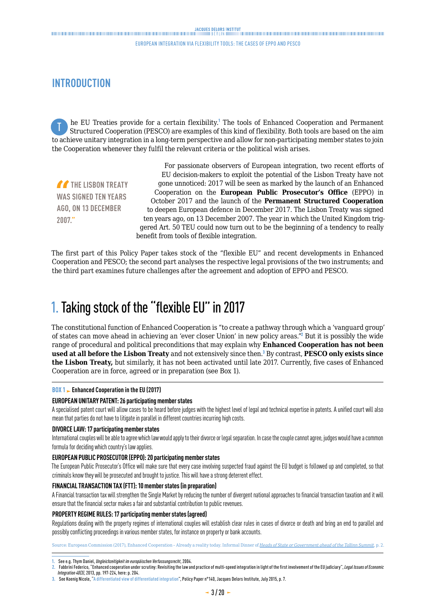# <span id="page-2-0"></span>**INTRODUCTION**

he EU Treaties provide for a certain flexibility.<sup>1</sup> The tools of Enhanced Cooperation and Permanent Structured Cooperation (PESCO) are examples of this kind of flexibility. Both tools are based on the aim to achieve unitary integration in a long-term perspective and allow for non-participating member states to join the Cooperation whenever they fulfil the relevant criteria or the political wish arises. T

*CC* THE LISBON TREATY **WAS SIGNED TEN YEARS AGO, ON 13 DECEMBER 2007."**

For passionate observers of European integration, two recent efforts of EU decision-makers to exploit the potential of the Lisbon Treaty have not gone unnoticed: 2017 will be seen as marked by the launch of an Enhanced Cooperation on the **European Public Prosecutor's Office** (EPPO) in October 2017 and the launch of the **Permanent Structured Cooperation** to deepen European defence in December 2017. The Lisbon Treaty was signed ten years ago, on 13 December 2007. The year in which the United Kingdom triggered Art. 50 TEU could now turn out to be the beginning of a tendency to really benefit from tools of flexible integration.

The first part of this Policy Paper takes stock of the "flexible EU" and recent developments in Enhanced Cooperation and PESCO; the second part analyses the respective legal provisions of the two instruments; and the third part examines future challenges after the agreement and adoption of EPPO and PESCO.

# 1. Taking stock of the "flexible EU" in 2017

The constitutional function of Enhanced Cooperation is "to create a pathway through which a 'vanguard group' of states can move ahead in achieving an 'ever closer Union' in new policy areas."<sup>2</sup> But it is possibly the wide range of procedural and political preconditions that may explain why **Enhanced Cooperation has not been**  used at all before the Lisbon Treaty and not extensively since then.<sup>3</sup> By contrast, PESCO only exists since **the Lisbon Treaty,** but similarly, it has not been activated until late 2017. Currently, five cases of Enhanced Cooperation are in force, agreed or in preparation (see Box 1).

#### **BOX 1 Enhanced Cooperation in the EU (2017)**

#### **EUROPEAN UNITARY PATENT: 26 participating member states**

A specialised patent court will allow cases to be heard before judges with the highest level of legal and technical expertise in patents. A unified court will also mean that parties do not have to litigate in parallel in different countries incurring high costs.

#### **DIVORCE LAW: 17 participating member states**

International couples will be able to agree which law would apply to their divorce or legal separation. In case the couple cannot agree, judges would have a common formula for deciding which country's law applies.

#### **EUROPEAN PUBLIC PROSECUTOR (EPPO): 20 participating member states**

The European Public Prosecutor's Office will make sure that every case involving suspected fraud against the EU budget is followed up and completed, so that criminals know they will be prosecuted and brought to justice. This will have a strong deterrent effect.

#### **FINANCIAL TRANSACTION TAX (FTT): 10 member states (in preparation)**

A Financial transaction tax will strengthen the Single Market by reducing the number of divergent national approaches to financial transaction taxation and it will ensure that the financial sector makes a fair and substantial contribution to public revenues.

#### **PROPERTY REGIME RULES: 17 participating member states (agreed)**

Regulations dealing with the property regimes of international couples will establish clear rules in cases of divorce or death and bring an end to parallel and possibly conflicting proceedings in various member states, for instance on property or bank accounts.

Source: European Commission (2017), [Enhanced Cooperation – Already a reality today. Informal Dinner of](https://ec.europa.eu/commission/sites/beta-political/files/enhanced-cooperation-factsheet-tallinn_en.pdf) *Heads of State or Government ahead of the Tallinn Summit*, p. 2.

**<sup>1.</sup>** See e.g. Thym Daniel, *Ungleichzeitigkeit im europäischen Verfassungsrecht*, 2004.

**<sup>2.</sup>** Fabbrini Federico, "Enhanced cooperation under scrutiny: Revisiting the law and practice of multi-speed integration in light of the first involvement of the EU judiciary", *Legal Issues of Economic Integration 40(3)*, 2013, pp. 197-224, here: p. 204.

**<sup>3.</sup>** See Koenig Nicole, "[A differentiated view of differentiated integration"](http://www.delorsinstitute.eu/011-21785-A-differentiated-view-of-differentiated-integration.html), Policy Paper n°140, Jacques Delors Institute, July 2015, p. 7.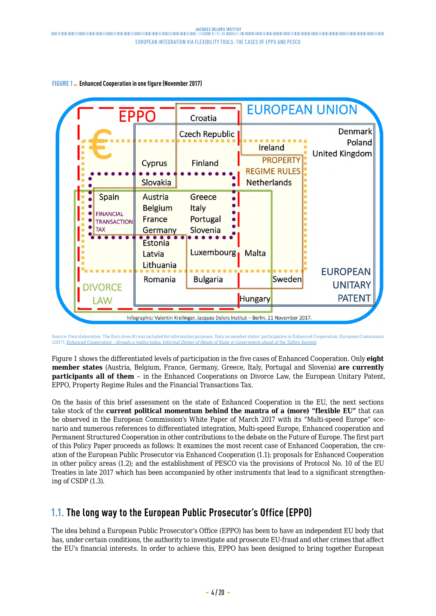<span id="page-3-0"></span>**FIGURE 1 Enhanced Cooperation in one figure (November 2017)**



Source: Own elaboration. The Euro Area ( $\epsilon$ ) was included for information purposes. Data on member states' participation in Enhanced Coop<br>(2017). Enhanced Cooperation - Already a reality today. Informal Dinner of Heads o (2017), *[Enhanced Cooperation – Already a reality today. Informal Dinner of Heads of State or Government ahead of the Tallinn Summit](https://ec.europa.eu/commission/sites/beta-political/files/enhanced-cooperation-factsheet-tallinn_en.pdf)*.

Figure 1 shows the differentiated levels of participation in the five cases of Enhanced Cooperation. Only **eight member states** (Austria, Belgium, France, Germany, Greece, Italy, Portugal and Slovenia) **are currently participants all of them** – in the Enhanced Cooperations on Divorce Law, the European Unitary Patent, EPPO, Property Regime Rules and the Financial Transactions Tax.

On the basis of this brief assessment on the state of Enhanced Cooperation in the EU, the next sections take stock of the **current political momentum behind the mantra of a (more) "flexible EU"** that can be observed in the European Commission's White Paper of March 2017 with its "Multi-speed Europe" scenario and numerous references to differentiated integration, Multi-speed Europe, Enhanced cooperation and Permanent Structured Cooperation in other contributions to the debate on the Future of Europe. The first part of this Policy Paper proceeds as follows: It examines the most recent case of Enhanced Cooperation, the creation of the European Public Prosecutor via Enhanced Cooperation (1.1); proposals for Enhanced Cooperation in other policy areas (1.2); and the establishment of PESCO via the provisions of Protocol No. 10 of the EU Treaties in late 2017 which has been accompanied by other instruments that lead to a significant strengthening of CSDP (1.3).

# **1.1. The long way to the European Public Prosecutor's Office (EPPO)**

The idea behind a European Public Prosecutor's Office (EPPO) has been to have an independent EU body that has, under certain conditions, the authority to investigate and prosecute EU-fraud and other crimes that affect the EU's financial interests. In order to achieve this, EPPO has been designed to bring together European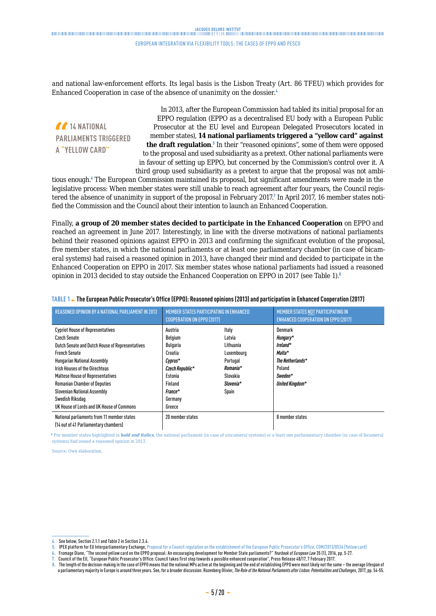<span id="page-4-0"></span>and national law-enforcement efforts. Its legal basis is the Lisbon Treaty (Art. 86 TFEU) which provides for Enhanced Cooperation in case of the absence of unanimity on the dossier.<sup>4</sup>

 **14 NATIONAL PARLIAMENTS TRIGGERED A "YELLOW CARD"**

In 2013, after the European Commission had tabled its initial proposal for an EPPO regulation (EPPO as a decentralised EU body with a European Public Prosecutor at the EU level and European Delegated Prosecutors located in member states), **14 national parliaments triggered a "yellow card" against**  the draft regulation.<sup>5</sup> In their "reasoned opinions", some of them were opposed to the proposal and used subsidiarity as a pretext. Other national parliaments were in favour of setting up EPPO, but concerned by the Commission's control over it. A third group used subsidiarity as a pretext to argue that the proposal was not ambi-

tious enough.<sup>6</sup> The European Commission maintained its proposal, but significant amendments were made in the legislative process: When member states were still unable to reach agreement after four years, the Council registered the absence of unanimity in support of the proposal in February 2017.<sup>7</sup> In April 2017, 16 member states notified the Commission and the Council about their intention to launch an Enhanced Cooperation.

Finally, **a group of 20 member states decided to participate in the Enhanced Cooperation** on EPPO and reached an agreement in June 2017. Interestingly, in line with the diverse motivations of national parliaments behind their reasoned opinions against EPPO in 2013 and confirming the significant evolution of the proposal, five member states, in which the national parliaments or at least one parliamentary chamber (in case of bicameral systems) had raised a reasoned opinion in 2013, have changed their mind and decided to participate in the Enhanced Cooperation on EPPO in 2017. Six member states whose national parliaments had issued a reasoned opinion in 2013 decided to stay outside the Enhanced Cooperation on EPPO in 2017 (see Table 1).<sup>8</sup>

| REASONED OPINION BY A NATIONAL PARLIAMENT IN 2013                                                                                                                                                                                                                                                                                                                                                  | <b>MEMBER STATES PARTICIPATING IN ENHANCED</b><br><b>COOPERATION ON EPPO (2017)</b>                                           |                                                                                                      | <b>MEMBER STATES NOT PARTICIPATING IN</b><br><b>ENHANCED COOPERATION ON EPPO (2017)</b>                      |
|----------------------------------------------------------------------------------------------------------------------------------------------------------------------------------------------------------------------------------------------------------------------------------------------------------------------------------------------------------------------------------------------------|-------------------------------------------------------------------------------------------------------------------------------|------------------------------------------------------------------------------------------------------|--------------------------------------------------------------------------------------------------------------|
| <b>Cypriot House of Representatives</b><br>Czech Senate<br>Dutch Senate and Dutch House of Representatives<br><b>French Senate</b><br><b>Hungarian National Assembly</b><br>Irish Houses of the Oirechteas<br><b>Maltese House of Representatives</b><br><b>Romanian Chamber of Deputies</b><br><b>Slovenian National Assembly</b><br>Swedish Riksdag<br>UK House of Lords and UK House of Commons | Austria<br>Belgium<br>Bulgaria<br>Croatia<br>Cyprus*<br>Czech Republic*<br>Estonia<br>Finland<br>France*<br>Germany<br>Greece | Italy<br>Latvia<br>Lithuania<br>Luxembourg<br>Portugal<br>Romania*<br>Slovakia<br>Slovenia*<br>Spain | <b>Denmark</b><br>Hungary*<br>Ireland*<br>Malta*<br>The Netherlands*<br>Poland<br>Sweden*<br>United Kingdom* |
| National parliaments from 11 member states<br>(14 out of 41 Parliamentary chambers)                                                                                                                                                                                                                                                                                                                | 20 member states                                                                                                              |                                                                                                      | 8 member states                                                                                              |

#### **TABLE 1 The European Public Prosecutor's Office (EPPO): Reasoned opinions (2013) and participation in Enhanced Cooperation (2017)**

\* For member states highlighted in *bold and italics*, the national parliament (in case of unicameral systems) or a least one parliamentary chamber (in case of bicameral systems) had issued a reasoned opinion in 2013.

Source: Own elaboration.

**<sup>4.</sup>** See below, Section 2.1.1 and Table 2 in Section 2.3.4.

<sup>5.</sup> IPEX platform for EU Interparliamentary Exchange, [Proposal for a Council regulation on the establishment of the European Public Prosecutor's Office, COM/2013/0534 \(Yellow card\)](http://www.ipex.eu/IPEXL-WEB/dossier/document/COM20130534.do)<br>6. Fromage Diane, "The second yellow card

**<sup>7.</sup>** Council of the EU, "European Public Prosecutor's Office: Council takes first step towards a possible enhanced cooperation", Press Release 48/17, 7 February 2017.

The length of the decision-making in the case of EPPO means that the national MPs active at the beginning and the end of establishing EPPO were most likely not the same – the average lifespan of a parliamentary majority in Europe is around three years. See, for a broader discussion: Rozenberg Olivier, *The Role of the National Parliaments after Lisbon: Potentialities and Challenges*, 2017, pp. 54-55.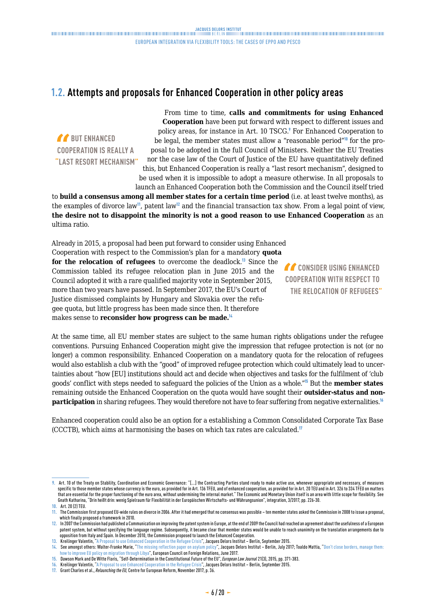# **1.2. Attempts and proposals for Enhanced Cooperation in other policy areas**

*f* BUT ENHANCED **COOPERATION IS REALLY A "LAST RESORT MECHANISM"**

From time to time, **calls and commitments for using Enhanced Cooperation** have been put forward with respect to different issues and policy areas, for instance in Art. 10 TSCG.<sup>9</sup> For Enhanced Cooperation to be legal, the member states must allow a "reasonable period"<sup>10</sup> for the proposal to be adopted in the full Council of Ministers. Neither the EU Treaties nor the case law of the Court of Justice of the EU have quantitatively defined this, but Enhanced Cooperation is really a "last resort mechanism", designed to be used when it is impossible to adopt a measure otherwise. In all proposals to launch an Enhanced Cooperation both the Commission and the Council itself tried

to **build a consensus among all member states for a certain time period** (i.e. at least twelve months), as the examples of divorce law<sup>11</sup>, patent law<sup>12</sup> and the financial transaction tax show. From a legal point of view, **the desire not to disappoint the minority is not a good reason to use Enhanced Cooperation** as an ultima ratio.

Already in 2015, a proposal had been put forward to consider using Enhanced Cooperation with respect to the Commission's plan for a mandatory **quota for the relocation of refugees** to overcome the deadlock.<sup>13</sup> Since the Commission tabled its refugee relocation plan in June 2015 and the Council adopted it with a rare qualified majority vote in September 2015, more than two years have passed. In September 2017, the EU's Court of Justice dismissed complaints by Hungary and Slovakia over the refugee quota, but little progress has been made since then. It therefore makes sense to **reconsider how progress can be made.**<sup>14</sup>

*CONSIDER USING ENHANCED* **COOPERATION WITH RESPECT TO THE RELOCATION OF REFUGEES"**

At the same time, all EU member states are subject to the same human rights obligations under the refugee conventions. Pursuing Enhanced Cooperation might give the impression that refugee protection is not (or no longer) a common responsibility. Enhanced Cooperation on a mandatory quota for the relocation of refugees would also establish a club with the "good" of improved refugee protection which could ultimately lead to uncertainties about "how [EU] institutions should act and decide when objectives and tasks for the fulfilment of 'club goods' conflict with steps needed to safeguard the policies of the Union as a whole."<sup>15</sup> But the **member states**  remaining outside the Enhanced Cooperation on the quota would have sought their **outsider-status and nonparticipation** in sharing refugees. They would therefore not have to fear suffering from negative externalities.<sup>16</sup>

Enhanced cooperation could also be an option for a establishing a Common Consolidated Corporate Tax Base (CCCTB), which aims at harmonising the bases on which tax rates are calculated.<sup>17</sup>

**<sup>9.</sup>** Art. 10 of the Treaty on Stability, Coordination and Economic Governance: "[...] the Contracting Parties stand ready to make active use, whenever appropriate and necessary, of measures specific to those member states whose currency is the euro, as provided for in Art. 136 TFEU, and of enhanced cooperation, as provided for in Art. 20 TEU and in Art. 326 to 334 TFEU on matters that are essential for the proper functioning of the euro area, without undermining the internal market." The Economic and Monetary Union itself is an area with little scope for flexibility. See Gnath Katharina, "Drin heißt drin: wenig Spielraum für Flexibilität in der Europäischen Wirtschafts- und Währungsunion", integration, 3/2017, pp. 226-30. **10.** Art. 20 (2) TEU.

**<sup>11.</sup>** The Commission first proposed EU-wide rules on divorce in 2006. After it had emerged that no consensus was possible – ten member states asked the Commission in 2008 to issue a proposal, which finally proposed a framework in 2010.

**<sup>12.</sup>** In 2007 the Commission had published a Communication on improving the patent system in Europe, at the end of 2009 the Council had reached an agreement about the usefulness of a European patent system, but without specifying the language regime. Subsequently, it became clear that member states would be unable to reach unanimity on the translation arrangements due to opposition from Italy and Spain. In December 2010, the Commission proposed to launch the Enhanced Cooperation.

**<sup>13.</sup>** Kreilinger Valentin, ["A Proposal to use Enhanced Cooperation in the Refugee Crisis](http://www.delorsinstitut.de/en/publications/topics/eu-institutions-and-governance/proposal-to-use-enhanced-cooperation-in-the-refugee-crisis/)", Jacques Delors Institut – Berlin, September 2015.

**<sup>14.</sup>** See amongst others: Walter-Franke Marie, "[The missing reflection paper on asylum policy"](http://www.delorsinstitut.de/en/all-publications/the-missing-reflection-paper-on-asylum-policy/), Jacques Delors Institut – Berlin, July 2017; Toaldo Mattia, ["Don't close borders, manage them:](http://www.ecfr.eu/publications/summary/dont_close_borders_manage_them_7297) [how to improve EU policy on migration through Libya"](http://www.ecfr.eu/publications/summary/dont_close_borders_manage_them_7297), European Council on Foreign Relations, June 2017.

**<sup>15.</sup>** Dawson Mark and De Witte Floris, "Self-Determination in the Constitutional Future of the EU", *European Law Journal* 21(3), 2015, pp. 371-383.

**<sup>16.</sup>** Kreilinger Valentin, ["A Proposal to use Enhanced Cooperation in the Refugee Crisis](http://www.delorsinstitut.de/en/publications/topics/eu-institutions-and-governance/proposal-to-use-enhanced-cooperation-in-the-refugee-crisis/)", Jacques Delors Institut – Berlin, September 2015.

**<sup>17.</sup>** Grant Charles et al., *Relaunching the EU,* Centre for European Reform, November 2017, p. 36.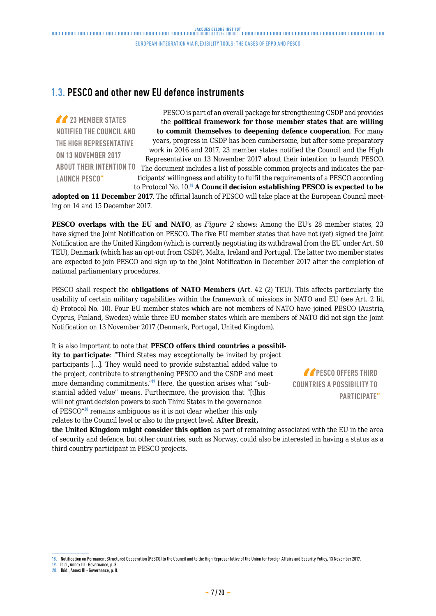### <span id="page-6-0"></span>**1.3. PESCO and other new EU defence instruments**

*<u>23 MEMBER STATES</u>* **NOTIFIED THE COUNCIL AND THE HIGH REPRESENTATIVE ON 13 NOVEMBER 2017 LAUNCH PESCO"**

PESCO is part of an overall package for strengthening CSDP and provides the **political framework for those member states that are willing to commit themselves to deepening defence cooperation**. For many years, progress in CSDP has been cumbersome, but after some preparatory work in 2016 and 2017, 23 member states notified the Council and the High Representative on 13 November 2017 about their intention to launch PESCO. ABOUT THEIR INTENTION TO The document includes a list of possible common projects and indicates the participants' willingness and ability to fulfil the requirements of a PESCO according

to Protocol No. 10.<sup>18</sup> **A Council decision establishing PESCO is expected to be adopted on 11 December 2017**. The official launch of PESCO will take place at the European Council meeting on 14 and 15 December 2017.

**PESCO overlaps with the EU and NATO**, as *Figure 2* shows: Among the EU's 28 member states, 23 have signed the Joint Notification on PESCO. The five EU member states that have not (yet) signed the Joint Notification are the United Kingdom (which is currently negotiating its withdrawal from the EU under Art. 50 TEU), Denmark (which has an opt-out from CSDP), Malta, Ireland and Portugal. The latter two member states are expected to join PESCO and sign up to the Joint Notification in December 2017 after the completion of national parliamentary procedures.

PESCO shall respect the **obligations of NATO Members** (Art. 42 (2) TEU). This affects particularly the usability of certain military capabilities within the framework of missions in NATO and EU (see Art. 2 lit. d) Protocol No. 10). Four EU member states which are not members of NATO have joined PESCO (Austria, Cyprus, Finland, Sweden) while three EU member states which are members of NATO did not sign the Joint Notification on 13 November 2017 (Denmark, Portugal, United Kingdom).

#### It is also important to note that **PESCO offers third countries a possibil-**

**ity to participate**: "Third States may exceptionally be invited by project participants […]. They would need to provide substantial added value to the project, contribute to strengthening PESCO and the CSDP and meet more demanding commitments."<sup>19</sup> Here, the question arises what "substantial added value" means. Furthermore, the provision that "[t]his will not grant decision powers to such Third States in the governance of PESCO"<sup>20</sup> remains ambiguous as it is not clear whether this only relates to the Council level or also to the project level. **After Brexit,** 

**PESCO OFFERS THIRD COUNTRIES A POSSIBILITY TO PARTICIPATE"**

**the United Kingdom might consider this option** as part of remaining associated with the EU in the area of security and defence, but other countries, such as Norway, could also be interested in having a status as a third country participant in PESCO projects.

**<sup>18.</sup>** Notification on Permanent Structured Cooperation (PESCO) to the Council and to the High Representative of the Union for Foreign Affairs and Security Policy, 13 November 2017.

**<sup>19.</sup>** Ibid., Annex III - Governance, p. 8.

**<sup>20.</sup>** Ibid., Annex III - Governance, p. 8.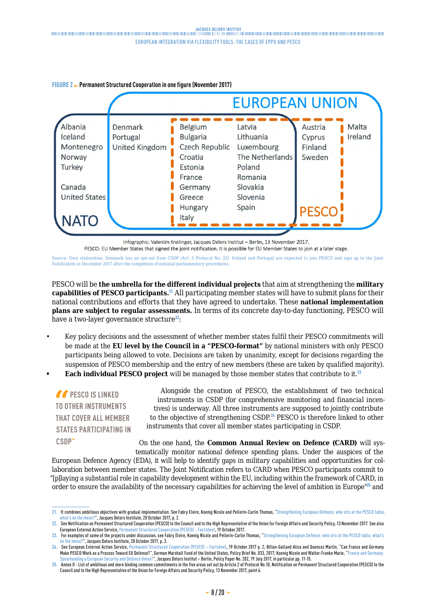#### **FIGURE 2 Permanent Structured Cooperation in one figure (November 2017)**



Infographic: Valentin Kreilinger, Jacques Delors Institut - Berlin, 13 November 2017.

PESCO: EU Member States that signed the joint notification. It is possible for EU Member States to join at a later stage.

Source: Own elaboration. Denmark has an opt-out from CSDP (Art. 5 Protocol No. 22). Ireland and Portugal are expected to join PESCO and sign up to the Joint Notification in December 2017 after the completion of national parliamentary procedures.

PESCO will be **the umbrella for the different individual projects** that aim at strengthening the **military capabilities of PESCO participants.**<sup>21</sup> All participating member states will have to submit plans for their national contributions and efforts that they have agreed to undertake. These **national implementation plans are subject to regular assessments.** In terms of its concrete day-to-day functioning, PESCO will have a two-layer governance structure $^{22}$ :

- Key policy decisions and the assessment of whether member states fulfil their PESCO commitments will be made at the **EU level by the Council in a "PESCO-format"** by national ministers with only PESCO participants being allowed to vote. Decisions are taken by unanimity, except for decisions regarding the suspension of PESCO membership and the entry of new members (these are taken by qualified majority).
- **• Each individual PESCO project** will be managed by those member states that contribute to it.<sup>23</sup>

*A* PESCO IS LINKED **TO OTHER INSTRUMENTS THAT COVER ALL MEMBER STATES PARTICIPATING IN CSDP"**

Alongside the creation of PESCO, the establishment of two technical instruments in CSDP (for comprehensive monitoring and financial incentives) is underway. All three instruments are supposed to jointly contribute to the objective of strengthening CSDP.<sup>24</sup> PESCO is therefore linked to other instruments that cover all member states participating in CSDP.

On the one hand, the **Common Annual Review on Defence (CARD)** will systematically monitor national defence spending plans. Under the auspices of the European Defence Agency (EDA), it will help to identify gaps in military capabilities and opportunities for collaboration between member states. The Joint Notification refers to CARD when PESCO participants commit to "[p]laying a substantial role in capability development within the EU, including within the framework of CARD, in

order to ensure the availability of the necessary capabilities for achieving the level of ambition in Europe"<sup>25</sup> and

<sup>21.</sup> It combines ambitious objectives with gradual implementation. See Fabry Elvire, Koenig Nicole and Pellerin-Carlin Thomas, "Strengthening European Defence: who sits at the PESCO table, [what's on the menu?](http://www.delorsinstitute.eu/011-26001-Strengthening-European-Defence-who-sits-at-the-PESCO-table-what-s-on-the-menu.html)", Jacques Delors Institute, 20 October 2017, p. 2.

**<sup>22</sup>**. See Notification on Permanent Structured Cooperation (PESCO) to the Council and to the High Representative of the Union for Foreign Affairs and Security Policy, 13 November 2017. See also European External Action Service, [Permanent Structured Cooperation \(PESCO\) – Factsheet,](http://europa.eu/!fY63Tc) 19 October 2017.

<sup>23.</sup> For examples of some of the projects under discussion, see Fabry Elvire, Koenig Nicole and Pellerin-Carlin Thomas, "[Strengthening European Defence: who sits at the PESCO table, what's](http://www.delorsinstitute.eu/011-26001-Strengthening-European-Defence-who-sits-at-the-PESCO-table-what-s-on-the-menu.html) [on the menu?](http://www.delorsinstitute.eu/011-26001-Strengthening-European-Defence-who-sits-at-the-PESCO-table-what-s-on-the-menu.html)", Jacques Delors Institute, 20 October 2017, p. 3.

**<sup>24.</sup>** See European External Action Servic[e, Permanent Structured Cooperation \(PESCO\) – Factsheet](http://europa.eu/!fY63Tc), 19 October 2017 p. 2; Billon-Galland Alice and Quencez Martin, "Can France and Germany Make PESCO Work as a Process Toward EU Defense?", German Marshall Fund of the United States, Policy Brief No. 033, 2017; Koenig Nicole and Walter-Franke Marie, "[France and Germany:](http://www.delorsinstitute.eu/011-25691-France-and-Germany-Spearheading-a-European-Security-and-Defence-Union.html) [Spearheading a European Security and Defence Union?](http://www.delorsinstitute.eu/011-25691-France-and-Germany-Spearheading-a-European-Security-and-Defence-Union.html)", Jacques Delors Institut – Berlin, Policy Paper No. 202, 19 July 2017, in particular pp. 11-15.

**<sup>25.</sup>** Annex II - List of ambitious and more binding common commitments in the five areas set out by Article 2 of Protocol No 10, Notification on Permanent Structured Cooperation (PESCO) to the Council and to the High Representative of the Union for Foreign Affairs and Security Policy, 13 November 2017, point 6.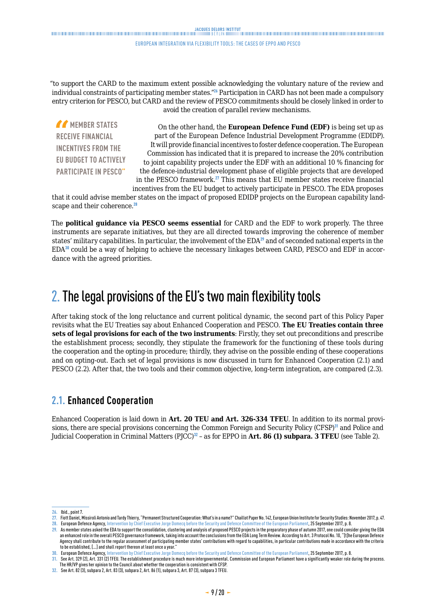<span id="page-8-0"></span>"to support the CARD to the maximum extent possible acknowledging the voluntary nature of the review and individual constraints of participating member states."<sup>26</sup> Participation in CARD has not been made a compulsory entry criterion for PESCO, but CARD and the review of PESCO commitments should be closely linked in order to avoid the creation of parallel review mechanisms.

*MEMBER STATES* **RECEIVE FINANCIAL INCENTIVES FROM THE EU BUDGET TO ACTIVELY PARTICIPATE IN PESCO"**

On the other hand, the **European Defence Fund (EDF)** is being set up as part of the European Defence Industrial Development Programme (EDIDP). It will provide financial incentives to foster defence cooperation. The European Commission has indicated that it is prepared to increase the 20% contribution to joint capability projects under the EDF with an additional 10 % financing for the defence-industrial development phase of eligible projects that are developed in the PESCO framework.<sup>27</sup> This means that EU member states receive financial incentives from the EU budget to actively participate in PESCO. The EDA proposes

that it could advise member states on the impact of proposed EDIDP projects on the European capability landscape and their coherence.<sup>28</sup>

The **political guidance via PESCO seems essential** for CARD and the EDF to work properly. The three instruments are separate initiatives, but they are all directed towards improving the coherence of member states' military capabilities. In particular, the involvement of the  $EDA^{29}$  and of seconded national experts in the EDA<sup>30</sup> could be a way of helping to achieve the necessary linkages between CARD, PESCO and EDF in accordance with the agreed priorities.

# 2. The legal provisions of the EU's two main flexibility tools

After taking stock of the long reluctance and current political dynamic, the second part of this Policy Paper revisits what the EU Treaties say about Enhanced Cooperation and PESCO. **The EU Treaties contain three sets of legal provisions for each of the two instruments**: Firstly, they set out preconditions and prescribe the establishment process; secondly, they stipulate the framework for the functioning of these tools during the cooperation and the opting-in procedure; thirdly, they advise on the possible ending of these cooperations and on opting-out. Each set of legal provisions is now discussed in turn for Enhanced Cooperation (2.1) and PESCO (2.2). After that, the two tools and their common objective, long-term integration, are compared (2.3).

### **2.1. Enhanced Cooperation**

Enhanced Cooperation is laid down in **Art. 20 TEU and Art. 326-334 TFEU**. In addition to its normal provisions, there are special provisions concerning the Common Foreign and Security Policy (CFSP)<sup>31</sup> and Police and Judicial Cooperation in Criminal Matters (PJCC)<sup>32</sup> – as for EPPO in **Art. 86 (1) subpara. 3 TFEU** (see Table 2).

**26.** Ibid., point 7.

**<sup>27.</sup>** Fiott Daniel, Missiroli Antonio and Tardy Thierry, "Permanent Structured Cooperation: What's in a name?" Chaillot Paper No. 142, European Union Institute for Security Studies: November 2017, p. 47. **28.** European Defence Agency, [Intervention by Chief Executive Jorge Domecq before the Security and Defence Committee of the European Parliament](https://www.eda.europa.eu/docs/default-source/documents/2017-09-25-sede-meeting_ltr.pdf), 25 September 2017, p. 8.

**<sup>29.</sup>** As member states asked the EDA to support the consolidation, clustering and analysis of proposed PESCO projects in the preparatory phase of autumn 2017, one could consider giving the EDA an enhanced role in the overall PESCO governance framework, taking into account the conclusions from the EDA Long Term Review. According to Art. 3 Protocol No. 10, "[t]he European Defence Agency shall contribute to the regular assessment of participating member states' contributions with regard to capabilities, in particular contributions made in accordance with the criteria to be established, […] and shall report thereon at least once a year."

**<sup>30.</sup>** European Defence Agency, [Intervention by Chief Executive Jorge Domecq before the Security and Defence Committee of the European Parliament](https://www.eda.europa.eu/docs/default-source/documents/2017-09-25-sede-meeting_ltr.pdf), 25 September 2017, p. 8.

**<sup>31.</sup>** See Art. 329 (2), Art. 331 (2) TFEU. The establishment procedure is much more intergovernmental. Commission and European Parliament have a significantly weaker role during the process. The HR/VP gives her opinion to the Council about whether the cooperation is consistent with CFSP.

**<sup>32.</sup>** See Art. 82 (3), subpara 2, Art. 83 (3), subpara 2, Art. 86 (1), subpara 3, Art. 87 (3), subpara 3 TFEU.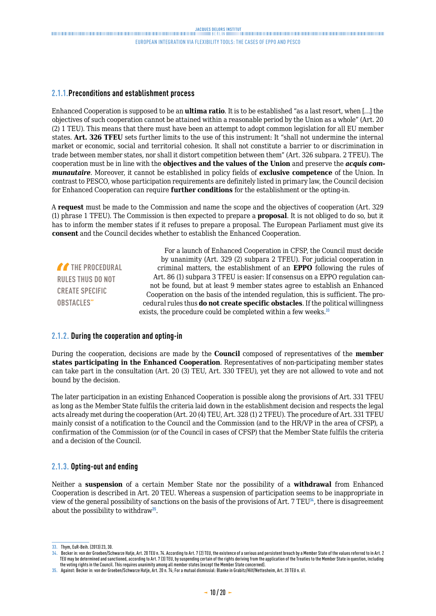#### <span id="page-9-0"></span>**2.1.1.Preconditions and establishment process**

Enhanced Cooperation is supposed to be an **ultima ratio**. It is to be established "as a last resort, when […] the objectives of such cooperation cannot be attained within a reasonable period by the Union as a whole" (Art. 20 (2) 1 TEU). This means that there must have been an attempt to adopt common legislation for all EU member states. **Art. 326 TFEU** sets further limits to the use of this instrument: It "shall not undermine the internal market or economic, social and territorial cohesion. It shall not constitute a barrier to or discrimination in trade between member states, nor shall it distort competition between them" (Art. 326 subpara. 2 TFEU). The cooperation must be in line with the **objectives and the values of the Union** and preserve the *acquis communautaire*. Moreover, it cannot be established in policy fields of **exclusive competence** of the Union. In contrast to PESCO, whose participation requirements are definitely listed in primary law, the Council decision for Enhanced Cooperation can require **further conditions** for the establishment or the opting-in.

A **request** must be made to the Commission and name the scope and the objectives of cooperation (Art. 329 (1) phrase 1 TFEU). The Commission is then expected to prepare a **proposal**. It is not obliged to do so, but it has to inform the member states if it refuses to prepare a proposal. The European Parliament must give its **consent** and the Council decides whether to establish the Enhanced Cooperation.

*TA* THE PROCEDURAL **RULES THUS DO NOT CREATE SPECIFIC OBSTACLES"** 

For a launch of Enhanced Cooperation in CFSP, the Council must decide by unanimity (Art. 329 (2) subpara 2 TFEU). For judicial cooperation in criminal matters, the establishment of an **EPPO** following the rules of Art. 86 (1) subpara 3 TFEU is easier: If consensus on a EPPO regulation cannot be found, but at least 9 member states agree to establish an Enhanced Cooperation on the basis of the intended regulation, this is sufficient. The procedural rules thus **do not create specific obstacles**. If the political willingness exists, the procedure could be completed within a few weeks.<sup>33</sup>

#### **2.1.2. During the cooperation and opting-in**

During the cooperation, decisions are made by the **Council** composed of representatives of the **member states participating in the Enhanced Cooperation**. Representatives of non-participating member states can take part in the consultation (Art. 20 (3) TEU, Art. 330 TFEU), yet they are not allowed to vote and not bound by the decision.

The later participation in an existing Enhanced Cooperation is possible along the provisions of Art. 331 TFEU as long as the Member State fulfils the criteria laid down in the establishment decision and respects the legal acts already met during the cooperation (Art. 20 (4) TEU, Art. 328 (1) 2 TFEU). The procedure of Art. 331 TFEU mainly consist of a notification to the Council and the Commission (and to the HR/VP in the area of CFSP), a confirmation of the Commission (or of the Council in cases of CFSP) that the Member State fulfils the criteria and a decision of the Council.

#### **2.1.3. Opting-out and ending**

Neither a **suspension** of a certain Member State nor the possibility of a **withdrawal** from Enhanced Cooperation is described in Art. 20 TEU. Whereas a suspension of participation seems to be inappropriate in view of the general possibility of sanctions on the basis of the provisions of Art. 7 TEU<sup>34</sup>, there is disagreement about the possibility to withdraw<sup>35</sup>.

**<sup>33.</sup>** Thym, EuR-Beih. (2013) 23, 30.

**<sup>34.</sup>** Becker in: von der Groeben/Schwarze Hatje, Art. 20 TEU n. 74. According to Art. 7 (2) TEU, the existence of a serious and persistent breach by a Member State of the values referred to in Art. 2 TEU may be determined and sanctioned, according to Art. 7 (3) TEU, by suspending certain of the rights deriving from the application of the Treaties to the Member State in question, including the voting rights in the Council. This requires unanimity among all member states (except the Member State concerned).

**<sup>35.</sup>** Against: Becker in: von der Groeben/Schwarze Hatje, Art. 20 n. 74; For a mutual dismissial: Blanke in Grabitz/Hilf/Nettesheim, Art. 20 TEU n. 61.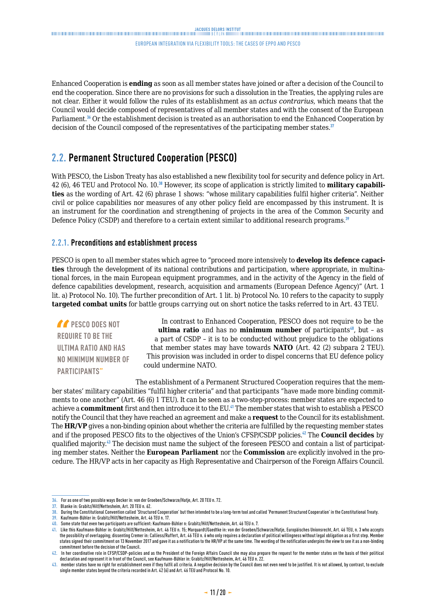<span id="page-10-0"></span>Enhanced Cooperation is **ending** as soon as all member states have joined or after a decision of the Council to end the cooperation. Since there are no provisions for such a dissolution in the Treaties, the applying rules are not clear. Either it would follow the rules of its establishment as an *actus contrarius*, which means that the Council would decide composed of representatives of all member states and with the consent of the European Parliament.<sup>36</sup> Or the establishment decision is treated as an authorisation to end the Enhanced Cooperation by decision of the Council composed of the representatives of the participating member states.<sup>37</sup>

# **2.2. Permanent Structured Cooperation (PESCO)**

With PESCO, the Lisbon Treaty has also established a new flexibility tool for security and defence policy in Art. 42 (6), 46 TEU and Protocol No. 10.<sup>38</sup> However, its scope of application is strictly limited to **military capabilities** as the wording of Art. 42 (6) phrase 1 shows: "whose military capabilities fulfil higher criteria". Neither civil or police capabilities nor measures of any other policy field are encompassed by this instrument. It is an instrument for the coordination and strengthening of projects in the area of the Common Security and Defence Policy (CSDP) and therefore to a certain extent similar to additional research programs.<sup>39</sup>

#### **2.2.1. Preconditions and establishment process**

PESCO is open to all member states which agree to "proceed more intensively to **develop its defence capacities** through the development of its national contributions and participation, where appropriate, in multinational forces, in the main European equipment programmes, and in the activity of the Agency in the field of defence capabilities development, research, acquisition and armaments (European Defence Agency)" (Art. 1 lit. a) Protocol No. 10). The further precondition of Art. 1 lit. b) Protocol No. 10 refers to the capacity to supply **targeted combat units** for battle groups carrying out on short notice the tasks referred to in Art. 43 TEU.

**TT** PESCO DOES NOT **REQUIRE TO BE THE ULTIMA RATIO AND HAS NO MINIMUM NUMBER OF PARTICIPANTS"**

In contrast to Enhanced Cooperation, PESCO does not require to be the **ultima ratio** and has no **minimum number** of participants<sup>40</sup>, but - as a part of CSDP – it is to be conducted without prejudice to the obligations that member states may have towards **NATO** (Art. 42 (2) subpara 2 TEU). This provision was included in order to dispel concerns that EU defence policy could undermine NATO.

The establishment of a Permanent Structured Cooperation requires that the member states' military capabilities "fulfil higher criteria" and that participants "have made more binding commitments to one another" (Art. 46 (6) 1 TEU). It can be seen as a two-step-process: member states are expected to achieve a **commitment** first and then introduce it to the EU.<sup>41</sup> The member states that wish to establish a PESCO notify the Council that they have reached an agreement and make a **request** to the Council for its establishment. The **HR/VP** gives a non-binding opinion about whether the criteria are fulfilled by the requesting member states and if the proposed PESCO fits to the objectives of the Union's CFSP/CSDP policies.<sup>42</sup> The **Council decides** by qualified majority.<sup>43</sup> The decision must name the subject of the foreseen PESCO and contain a list of participating member states. Neither the **European Parliament** nor the **Commission** are explicitly involved in the procedure. The HR/VP acts in her capacity as High Representative and Chairperson of the Foreign Affairs Council.

**<sup>36.</sup>** For as one of two possible ways Becker in: von der Groeben/Schwarze/Hatje, Art. 20 TEU n. 72.

**<sup>37.</sup>** Blanke in: Grabitz/Hilf/Nettesheim, Art. 20 TEU n. 62.

**<sup>38.</sup>** During the Constitutional Convention called 'Structured Cooperation' but then intended to be a long-term tool and called 'Permanent Structured Cooperation' in the Constitutional Treaty.

**<sup>39.</sup>** Kaufmann-Bühler in: Grabitz/Hilf/Nettesheim, Art. 46 TEU n. 17.

**<sup>40.</sup>** Some state that even two participants are sufficient: Kaufmann-Bühler n: Grabitz/Hilf/Nettesheim, Art. 46 TEU n. 7.

**<sup>41.</sup>** Like this Kaufmann-Bühler in: Grabitz/Hilf/Nettesheim, Art. 46 TEU n. 15; Marquardt/Gaedtke in: von der Groeben/Schwarze/Hatje, Europäisches Unionsrecht, Art. 46 TEU, n. 3 who accepts the possibility of overlapping; dissenting Cremer in: Calliess/Ruffert, Art. 46 TEU n. 6 who only requires a declaration of political willingness without legal obligation as a first step. Member states signed their commitment on 13 November 2017 and gave it as a notification to the HR/VP at the same time. The wording of the notification underpins the view to see it as a non-binding commitment before the decision of the Council.

**<sup>42.</sup>** In her coordinative role in CFSP/CSDP-policies and as the President of the Foreign Affairs Council she may also prepare the request for the member states on the basis of their political declaration and represent it in front of the Council, see Kaufmann-Bühler in: Grabitz/Hilf/Nettesheim, Art. 46 TEU n. 22.

**<sup>43.</sup>** member states have no right for establishment even if they fulfil all criteria. A negative decision by the Council does not even need to be justified. It is not allowed, by contrast, to exclude single member states beyond the criteria recorded in Art. 42 (6) and Art. 46 TEU and Protocol No. 10.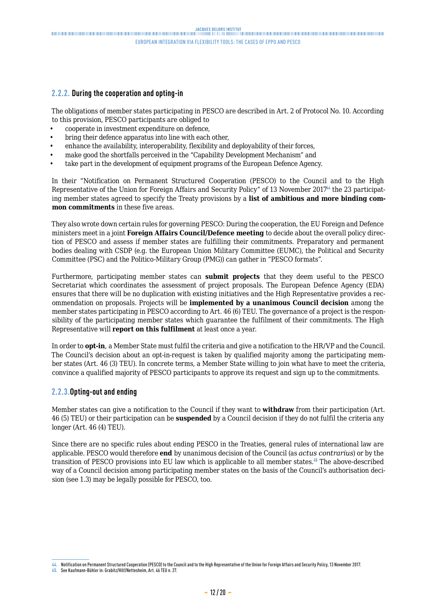#### <span id="page-11-0"></span>**2.2.2. During the cooperation and opting-in**

The obligations of member states participating in PESCO are described in Art. 2 of Protocol No. 10. According to this provision, PESCO participants are obliged to

- cooperate in investment expenditure on defence,
- bring their defence apparatus into line with each other,
- enhance the availability, interoperability, flexibility and deployability of their forces,
- make good the shortfalls perceived in the "Capability Development Mechanism" and
- take part in the development of equipment programs of the European Defence Agency.

In their "Notification on Permanent Structured Cooperation (PESCO) to the Council and to the High Representative of the Union for Foreign Affairs and Security Policy" of 13 November 2017<sup>44</sup> the 23 participating member states agreed to specify the Treaty provisions by a **list of ambitious and more binding common commitments** in these five areas.

They also wrote down certain rules for governing PESCO: During the cooperation, the EU Foreign and Defence ministers meet in a joint **Foreign Affairs Council/Defence meeting** to decide about the overall policy direction of PESCO and assess if member states are fulfilling their commitments. Preparatory and permanent bodies dealing with CSDP (e.g. the European Union Military Committee (EUMC), the Political and Security Committee (PSC) and the Politico-Military Group (PMG)) can gather in "PESCO formats".

Furthermore, participating member states can **submit projects** that they deem useful to the PESCO Secretariat which coordinates the assessment of project proposals. The European Defence Agency (EDA) ensures that there will be no duplication with existing initiatives and the High Representative provides a recommendation on proposals. Projects will be **implemented by a unanimous Council decision** among the member states participating in PESCO according to Art. 46 (6) TEU. The governance of a project is the responsibility of the participating member states which guarantee the fulfilment of their commitments. The High Representative will **report on this fulfilment** at least once a year.

In order to **opt-in***,* a Member State must fulfil the criteria and give a notification to the HR/VP and the Council. The Council's decision about an opt-in-request is taken by qualified majority among the participating member states (Art. 46 (3) TEU). In concrete terms, a Member State willing to join what have to meet the criteria, convince a qualified majority of PESCO participants to approve its request and sign up to the commitments.

#### **2.2.3.Opting-out and ending**

Member states can give a notification to the Council if they want to **withdraw** from their participation (Art. 46 (5) TEU) or their participation can be **suspended** by a Council decision if they do not fulfil the criteria any longer (Art. 46 (4) TEU).

Since there are no specific rules about ending PESCO in the Treaties, general rules of international law are applicable. PESCO would therefore **end** by unanimous decision of the Council (as *actus contrarius*) or by the transition of PESCO provisions into EU law which is applicable to all member states.<sup>45</sup> The above-described way of a Council decision among participating member states on the basis of the Council's authorisation decision (see 1.3) may be legally possible for PESCO, too.

**<sup>44.</sup>** Notification on Permanent Structured Cooperation (PESCO) to the Council and to the High Representative of the Union for Foreign Affairs and Security Policy, 13 November 2017.

**<sup>45.</sup>** See Kaufmann-Bühler in: Grabitz/Hilf/Nettesheim, Art. 46 TEU n. 27.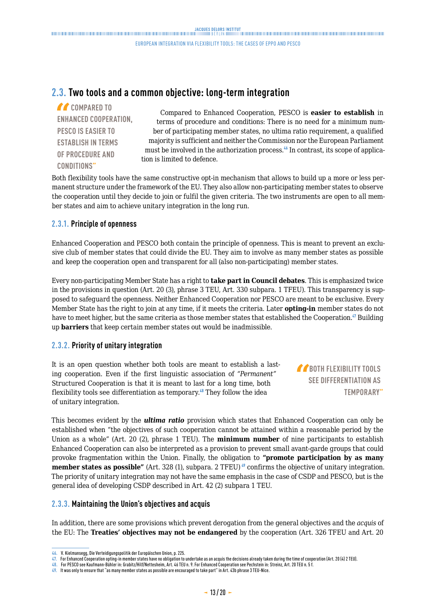### <span id="page-12-0"></span>**2.3. Two tools and a common objective: long-term integration**

*COMPARED TO* **ENHANCED COOPERATION, PESCO IS EASIER TO ESTABLISH IN TERMS OF PROCEDURE AND CONDITIONS"**

Compared to Enhanced Cooperation, PESCO is **easier to establish** in terms of procedure and conditions: There is no need for a minimum number of participating member states, no ultima ratio requirement, a qualified majority is sufficient and neither the Commission nor the European Parliament must be involved in the authorization process.<sup>46</sup> In contrast, its scope of application is limited to defence.

Both flexibility tools have the same constructive opt-in mechanism that allows to build up a more or less permanent structure under the framework of the EU. They also allow non-participating member states to observe the cooperation until they decide to join or fulfil the given criteria. The two instruments are open to all member states and aim to achieve unitary integration in the long run.

#### **2.3.1. Principle of openness**

Enhanced Cooperation and PESCO both contain the principle of openness. This is meant to prevent an exclusive club of member states that could divide the EU. They aim to involve as many member states as possible and keep the cooperation open and transparent for all (also non-participating) member states.

Every non-participating Member State has a right to **take part in Council debates**. This is emphasized twice in the provisions in question (Art. 20 (3), phrase 3 TEU, Art. 330 subpara. 1 TFEU). This transparency is supposed to safeguard the openness. Neither Enhanced Cooperation nor PESCO are meant to be exclusive. Every Member State has the right to join at any time, if it meets the criteria. Later **opting-in** member states do not have to meet higher, but the same criteria as those member states that established the Cooperation.<sup>47</sup> Building up **barriers** that keep certain member states out would be inadmissible.

#### **2.3.2. Priority of unitary integration**

It is an open question whether both tools are meant to establish a lasting cooperation. Even if the first linguistic association of *"Permanent"*  Structured Cooperation is that it is meant to last for a long time, both flexibility tools see differentiation as temporary.<sup>48</sup> They follow the idea of unitary integration.

**BOTH FLEXIBILITY TOOLS SEE DIFFERENTIATION AS TEMPORARY"**

This becomes evident by the *ultima ratio* provision which states that Enhanced Cooperation can only be established when "the objectives of such cooperation cannot be attained within a reasonable period by the Union as a whole" (Art. 20 (2), phrase 1 TEU). The **minimum number** of nine participants to establish Enhanced Cooperation can also be interpreted as a provision to prevent small avant-garde groups that could provoke fragmentation within the Union. Finally, the obligation to **"promote participation by as many member states as possible"** (Art. 328 (1), subpara. 2 TFEU)<sup>49</sup> confirms the objective of unitary integration. The priority of unitary integration may not have the same emphasis in the case of CSDP and PESCO, but is the general idea of developing CSDP described in Art. 42 (2) subpara 1 TEU.

#### **2.3.3. Maintaining the Union's objectives and acquis**

In addition, there are some provisions which prevent derogation from the general objectives and the *acquis* of the EU: The **Treaties' objectives may not be endangered** by the cooperation (Art. 326 TFEU and Art. 20

**<sup>46.</sup>** V. Kielmansegg, Die Verteidigungspolitik der Europäischen Union, p. 225.

**<sup>47.</sup>** For Enhanced Cooperation opting-in member states have no obligation to undertake as an acquis the decisions already taken during the time of cooperation (Art. 20 (4) 2 TEU).

**<sup>48.</sup>** For PESCO see Kaufmann-Bühler in: Grabitz/Hilf/Nettesheim, Art. 46 TEU n. 9. For Enhanced Cooperation see Pechstein in: Streinz, Art. 20 TEU n. 5 f.

**<sup>49.</sup>** It was only to ensure that "as many member states as possible are encouraged to take part" in Art. 43b phrase 3 TEU-Nice.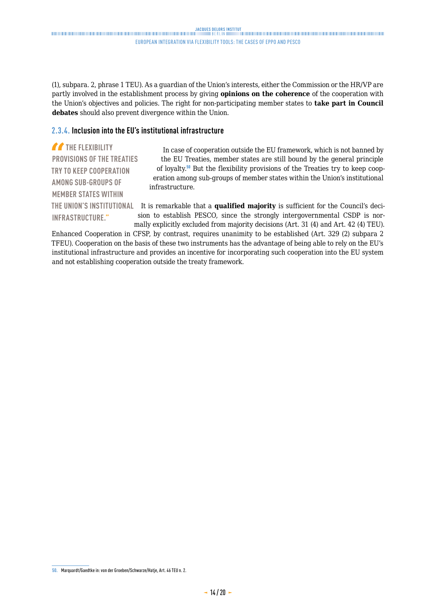<span id="page-13-0"></span>(1), subpara. 2, phrase 1 TEU). As a guardian of the Union's interests, either the Commission or the HR/VP are partly involved in the establishment process by giving **opinions on the coherence** of the cooperation with the Union's objectives and policies. The right for non-participating member states to **take part in Council debates** should also prevent divergence within the Union.

#### **2.3.4. Inclusion into the EU's institutional infrastructure**

In case of cooperation outside the EU framework, which is not banned by the EU Treaties, member states are still bound by the general principle of loyalty.<sup>50</sup> But the flexibility provisions of the Treaties try to keep cooperation among sub-groups of member states within the Union's institutional infrastructure. THE UNION'S INSTITUTIONAL It is remarkable that a **qualified majority** is sufficient for the Council's decision to establish PESCO, since the strongly intergovernmental CSDP is normally explicitly excluded from majority decisions (Art. 31 (4) and Art. 42 (4) TEU). **THE FLEXIBILITY PROVISIONS OF THE TREATIES TRY TO KEEP COOPERATION AMONG SUB-GROUPS OF MEMBER STATES WITHIN INFRASTRUCTURE."**

Enhanced Cooperation in CFSP, by contrast, requires unanimity to be established (Art. 329 (2) subpara 2 TFEU). Cooperation on the basis of these two instruments has the advantage of being able to rely on the EU's institutional infrastructure and provides an incentive for incorporating such cooperation into the EU system and not establishing cooperation outside the treaty framework.

**<sup>50.</sup>** Marquardt/Gaedtke in: von der Groeben/Schwarze/Hatje, Art. 46 TEU n. 2.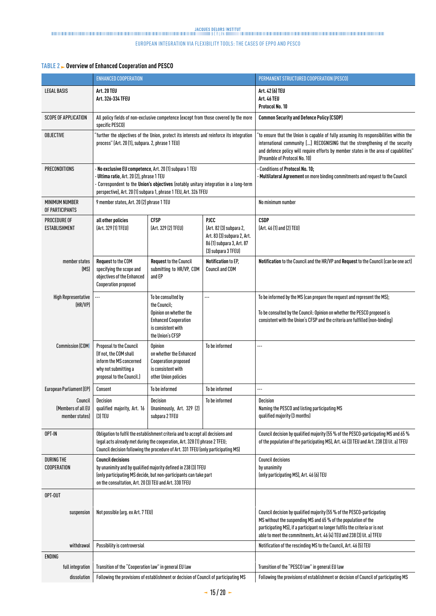#### **TABLE 2 Overview of Enhanced Cooperation and PESCO**

|                                                   | <b>ENHANCED COOPERATION</b>                                                                                                                                                                                                                                 |                                                                                                                                       |                                                                                                                    | PERMANENT STRUCTURED COOPERATION (PESCO)                                                                                                                                                                                                                                                            |
|---------------------------------------------------|-------------------------------------------------------------------------------------------------------------------------------------------------------------------------------------------------------------------------------------------------------------|---------------------------------------------------------------------------------------------------------------------------------------|--------------------------------------------------------------------------------------------------------------------|-----------------------------------------------------------------------------------------------------------------------------------------------------------------------------------------------------------------------------------------------------------------------------------------------------|
| <b>LEGAL BASIS</b>                                | Art. 20 TEU<br>Art. 326-334 TFEU                                                                                                                                                                                                                            |                                                                                                                                       |                                                                                                                    | Art. 42 (6) TEU<br>Art. 46 TEU<br>Protocol No. 10                                                                                                                                                                                                                                                   |
| <b>SCOPE OF APPLICATION</b>                       | All policy fields of non-exclusive competence (except from those covered by the more<br>specific PESCO)                                                                                                                                                     |                                                                                                                                       |                                                                                                                    | <b>Common Security and Defence Policy (CSDP)</b>                                                                                                                                                                                                                                                    |
| <b>OBJECTIVE</b>                                  | 'further the objectives of the Union, protect its interests and reinforce its integration<br>process" (Art. 20 (1), subpara. 2, phrase 1 TEU)                                                                                                               |                                                                                                                                       |                                                                                                                    | 'to ensure that the Union is capable of fully assuming its responsibilities within the<br>international community [] RECOGNISING that the strengthening of the security<br>and defence policy will require efforts by member states in the area of capabilities"<br>(Preamble of Protocol No. 10)   |
| PRECONDITIONS                                     | No exclusive EU competence, Art. 20 (1) subpara 1 TEU<br>Ultima ratio, Art. 20 (2), phrase 1 TEU<br>Correspondent to the Union's objectives (notably unitary integration in a long-term<br>perspective), Art. 20 (1) subpara 1, phrase 1 TEU, Art. 326 TFEU |                                                                                                                                       |                                                                                                                    | Conditions of Protocol No. 10;<br>Multilateral Agreement on more binding commitments and request to the Council                                                                                                                                                                                     |
| MINIMUM NUMBER<br>OF PARTICIPANTS                 | 9 member states, Art. 20 (2) phrase 1 TEU                                                                                                                                                                                                                   |                                                                                                                                       |                                                                                                                    | No minimum number                                                                                                                                                                                                                                                                                   |
| PROCEDURE OF<br>ESTABLISHMENT                     | all other policies<br>(Art. 329 (1) TFEU)                                                                                                                                                                                                                   | <b>CFSP</b><br>(Art. 329 (2) TFEU)                                                                                                    | PJCC<br>(Art. 82 (3) subpara 2,<br>Art. 83 (3) subpara 2, Art.<br>86 (1) subpara 3, Art. 87<br>(3) subpara 3 TFEU) | <b>CSDP</b><br>(Art. 46 (1) and (2) TEU)                                                                                                                                                                                                                                                            |
| member states<br>(MS)                             | Request to the COM<br>specifying the scope and<br>objectives of the Enhanced<br>Cooperation proposed                                                                                                                                                        | Request to the Council<br>submitting to HR/VP, COM<br>and EP                                                                          | Notification to EP,<br><b>Council and COM</b>                                                                      | Notification to the Council and the HR/VP and Request to the Council (can be one act)                                                                                                                                                                                                               |
| <b>High Representative</b><br>(HR/VP)             | ---                                                                                                                                                                                                                                                         | To be consulted by<br>the Council:<br>Opinion on whether the<br><b>Enhanced Cooperation</b><br>is consistent with<br>the Union's CFSP | L.                                                                                                                 | To be informed by the MS (can prepare the request and represent the MS);<br>To be consulted by the Council: Opinion on whether the PESCO proposed is<br>consistent with the Union's CFSP and the criteria are fulfilled (non-binding)                                                               |
| <b>Commission (COM)</b>                           | Proposal to the Council<br>(If not, the COM shall<br>inform the MS concerned<br>why not submitting a<br>proposal to the Council.)                                                                                                                           | Opinion<br>on whether the Enhanced<br>Cooperation proposed<br>is consistent with<br>other Union policies                              | To be informed                                                                                                     |                                                                                                                                                                                                                                                                                                     |
| European Parliament (EP)                          | Consent                                                                                                                                                                                                                                                     | To be informed                                                                                                                        | To be informed                                                                                                     |                                                                                                                                                                                                                                                                                                     |
| Council  <br>(Members of all EU<br>member states) | Decision<br>qualified majority, Art. 16<br>(3) TEU                                                                                                                                                                                                          | Decision<br>Unanimously, Art. 329 (2)<br>subpara 2 TFEU                                                                               | To be informed                                                                                                     | Decision<br>Naming the PESCO and listing participating MS<br>qualified majority (3 months)                                                                                                                                                                                                          |
| OPT-IN                                            | Obligation to fulfil the establishment criteria and to accept all decisions and<br>legal acts already met during the cooperation, Art. 328 (1) phrase 2 TFEU;<br>Council decision following the procedure of Art. 331 TFEU (only participating MS)          |                                                                                                                                       |                                                                                                                    | Council decision by qualified majority (55 % of the PESCO-participating MS and 65 %<br>of the population of the participating MS), Art. 46 (3) TEU and Art. 238 (3) lit. a) TFEU                                                                                                                    |
| DURING THE<br><b>COOPERATION</b>                  | <b>Council decisions</b><br>by unanimity and by qualified majority defined in 238 (3) TFEU<br>(only participating MS decide, but non-participants can take part<br>on the consultation, Art. 20 (3) TEU and Art. 330 TFEU                                   |                                                                                                                                       |                                                                                                                    | <b>Council decisions</b><br>by unanimity<br>(only participating MS), Art. 46 (6) TEU                                                                                                                                                                                                                |
| OPT-OUT                                           |                                                                                                                                                                                                                                                             |                                                                                                                                       |                                                                                                                    |                                                                                                                                                                                                                                                                                                     |
| suspension                                        | Not possible (arg. ex Art. 7 TEU)                                                                                                                                                                                                                           |                                                                                                                                       |                                                                                                                    | Council decision by qualified majority (55 % of the PESCO-participating<br>MS without the suspending MS and 65 % of the population of the<br>participating MS), if a participant no longer fulfils the criteria or is not<br>able to meet the commitments, Art. 46 (4) TEU and 238 (3) lit. a) TFEU |
| withdrawal                                        | Possibility is controversial                                                                                                                                                                                                                                |                                                                                                                                       |                                                                                                                    | Notification of the rescinding MS to the Council, Art. 46 (5) TEU                                                                                                                                                                                                                                   |
| ENDING                                            |                                                                                                                                                                                                                                                             |                                                                                                                                       |                                                                                                                    |                                                                                                                                                                                                                                                                                                     |
| full integration                                  | Transition of the "Cooperation law" in general EU law                                                                                                                                                                                                       |                                                                                                                                       |                                                                                                                    | Transition of the "PESCO law" in general EU law<br>Following the provisions of establishment or decision of Council of participating MS                                                                                                                                                             |
| dissolution                                       | Following the provisions of establishment or decision of Council of participating MS                                                                                                                                                                        |                                                                                                                                       |                                                                                                                    |                                                                                                                                                                                                                                                                                                     |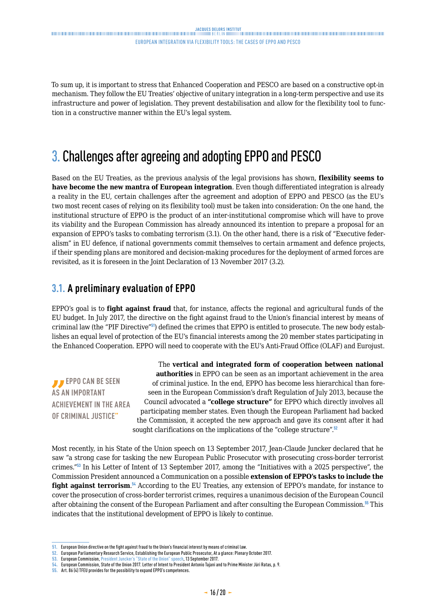<span id="page-15-0"></span>To sum up, it is important to stress that Enhanced Cooperation and PESCO are based on a constructive opt-in mechanism. They follow the EU Treaties' objective of unitary integration in a long-term perspective and use its infrastructure and power of legislation. They prevent destabilisation and allow for the flexibility tool to function in a constructive manner within the EU's legal system.

# 3. Challenges after agreeing and adopting EPPO and PESCO

Based on the EU Treaties, as the previous analysis of the legal provisions has shown, **flexibility seems to have become the new mantra of European integration**. Even though differentiated integration is already a reality in the EU, certain challenges after the agreement and adoption of EPPO and PESCO (as the EU's two most recent cases of relying on its flexibility tool) must be taken into consideration: On the one hand, the institutional structure of EPPO is the product of an inter-institutional compromise which will have to prove its viability and the European Commission has already announced its intention to prepare a proposal for an expansion of EPPO's tasks to combating terrorism (3.1). On the other hand, there is a risk of "Executive federalism" in EU defence, if national governments commit themselves to certain armament and defence projects, if their spending plans are monitored and decision-making procedures for the deployment of armed forces are revisited, as it is foreseen in the Joint Declaration of 13 November 2017 (3.2).

# **3.1. A preliminary evaluation of EPPO**

EPPO's goal is to **fight against fraud** that, for instance, affects the regional and agricultural funds of the EU budget. In July 2017, the directive on the fight against fraud to the Union's financial interest by means of criminal law (the "PIF Directive"<sup>51</sup>) defined the crimes that EPPO is entitled to prosecute. The new body establishes an equal level of protection of the EU's financial interests among the 20 member states participating in the Enhanced Cooperation. EPPO will need to cooperate with the EU's Anti-Fraud Office (OLAF) and Eurojust.

**FPPO CAN BE SEEN AS AN IMPORTANT ACHIEVEMENT IN THE AREA OF CRIMINAL JUSTICE"**

The **vertical and integrated form of cooperation between national authorities** in EPPO can be seen as an important achievement in the area of criminal justice. In the end, EPPO has become less hierarchical than foreseen in the European Commission's draft Regulation of July 2013, because the Council advocated a **"college structure"** for EPPO which directly involves all participating member states. Even though the European Parliament had backed the Commission, it accepted the new approach and gave its consent after it had sought clarifications on the implications of the "college structure".<sup>52</sup>

Most recently, in his State of the Union speech on 13 September 2017, Jean-Claude Juncker declared that he saw "a strong case for tasking the new European Public Prosecutor with prosecuting cross-border terrorist crimes."<sup>53</sup> In his Letter of Intent of 13 September 2017, among the "Initiatives with a 2025 perspective", the Commission President announced a Communication on a possible **extension of EPPO's tasks to include the fight against terrorism**. <sup>54</sup> According to the EU Treaties, any extension of EPPO's mandate, for instance to cover the prosecution of cross-border terrorist crimes, requires a unanimous decision of the European Council after obtaining the consent of the European Parliament and after consulting the European Commission.<sup>55</sup> This indicates that the institutional development of EPPO is likely to continue.

**<sup>51.</sup>** European Union directive on the fight against fraud to the Union's financial interest by means of criminal law.

**<sup>52.</sup>** European Parliamentary Research Service, Establishing the European Public Prosecutor, At a glance: Plenary October 2017.

**<sup>53.</sup>** European Commission, [President Juncker's "State of the Union" speech,](http://europa.eu/rapid/press-release_SPEECH-17-3165_en.htm) 13 September 2017.

**<sup>54.</sup>** European Commission, State of the Union 2017. Letter of Intent to President Antonio Tajani and to Prime Minister Jüri Ratas, p. 9.

**<sup>55.</sup>** Art. 86 (4) TFEU provides for the possibility to expand EPPO's competences.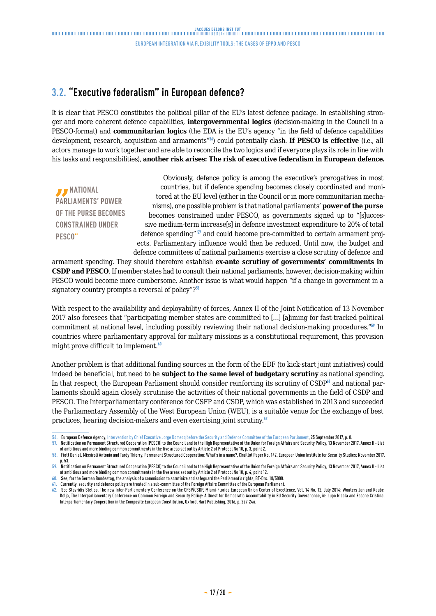## <span id="page-16-0"></span>**3.2. "Executive federalism" in European defence?**

It is clear that PESCO constitutes the political pillar of the EU's latest defence package. In establishing stronger and more coherent defence capabilities, **intergovernmental logics** (decision-making in the Council in a PESCO-format) and **communitarian logics** (the EDA is the EU's agency "in the field of defence capabilities development, research, acquisition and armaments"<sup>56</sup>) could potentially clash. **If PESCO is effective** (i.e., all actors manage to work together and are able to reconcile the two logics and if everyone plays its role in line with his tasks and responsibilities), **another risk arises: The risk of executive federalism in European defence.** 

**B** NATIONAL **PARLIAMENTS' POWER OF THE PURSE BECOMES CONSTRAINED UNDER PESCO"**

Obviously, defence policy is among the executive's prerogatives in most countries, but if defence spending becomes closely coordinated and monitored at the EU level (either in the Council or in more communitarian mechanisms), one possible problem is that national parliaments' **power of the purse**  becomes constrained under PESCO, as governments signed up to "[s]uccessive medium-term increase[s] in defence investment expenditure to 20% of total defence spending" <sup>57</sup> and could become pre-committed to certain armament projects. Parliamentary influence would then be reduced. Until now, the budget and defence committees of national parliaments exercise a close scrutiny of defence and

armament spending. They should therefore establish **ex-ante scrutiny of governments' commitments in CSDP and PESCO**. If member states had to consult their national parliaments, however, decision-making within PESCO would become more cumbersome. Another issue is what would happen "if a change in government in a signatory country prompts a reversal of policy"?<sup>58</sup>

With respect to the availability and deployability of forces, Annex II of the Joint Notification of 13 November 2017 also foresees that "participating member states are committed to […] [a]iming for fast-tracked political commitment at national level, including possibly reviewing their national decision-making procedures."<sup>59</sup> In countries where parliamentary approval for military missions is a constitutional requirement, this provision might prove difficult to implement.<sup>60</sup>

Another problem is that additional funding sources in the form of the EDF (to kick-start joint initiatives) could indeed be beneficial, but need to be **subject to the same level of budgetary scrutiny** as national spending. In that respect, the European Parliament should consider reinforcing its scrutiny of CSDP<sup>61</sup> and national parliaments should again closely scrutinise the activities of their national governments in the field of CSDP and PESCO. The Interparliamentary conference for CSFP and CSDP, which was established in 2013 and succeeded the Parliamentary Assembly of the West European Union (WEU), is a suitable venue for the exchange of best practices, hearing decision-makers and even exercising joint scrutiny.<sup>62</sup>

**<sup>56.</sup>** European Defence Agency, [Intervention by Chief Executive Jorge Domecq before the Security and Defence Committee of the European Parliament,](https://www.eda.europa.eu/docs/default-source/documents/2017-09-25-sede-meeting_ltr.pdf) 25 September 2017, p. 8. **For a computer of the European Parliament, 25 Sept 57.** Notification on Permanent Structured Cooperation (PESCO) to the Council and to the High Representative of the Union for Foreign Affairs and Security Policy, 13 November 2017, Annex II - List

of ambitious and more binding common commitments in the five areas set out by Article 2 of Protocol No 10, p. 3, point 2.

**<sup>58.</sup>** Fiott Daniel, Missiroli Antonio and Tardy Thierry, Permanent Structured Cooperation: What's in a name?, Chaillot Paper No. 142, European Union Institute for Security Studies: November 2017,

p. 53. **59.** Notification on Permanent Structured Cooperation (PESCO) to the Council and to the High Representative of the Union for Foreign Affairs and Security Policy, 13 November 2017, Annex II - List of ambitious and more binding common commitments in the five areas set out by Article 2 of Protocol No 10, p. 4, point 12.

**<sup>60.</sup>** See, for the German Bundestag, the analysis of a commission to scrutinize and safeguard the Parliament's rights, BT-Drs. 18/5000. **61.** Currently, security and defence policy are treated in a sub-committee of the Foreign Affairs Committee of the European Parliament.

**<sup>62.</sup>** See Stavridis Stelios, The new Inter-Parliamentary Conference on the CFSP/CSDP, Miami-Florida European Union Center of Excellence, Vol. 14 No. 12, July 2014; Wouters Jan and Raube Kolia, The Interparliamentary Conference on Common Foreign and Security Policy: A Quest for Democratic Accountability in EU Security Goveranance, in: Lupo Nicola and Fasone Cristina, Interparliamentary Cooperation in the Composite European Constitution, Oxford, Hart Publishing, 2016, p. 227-246.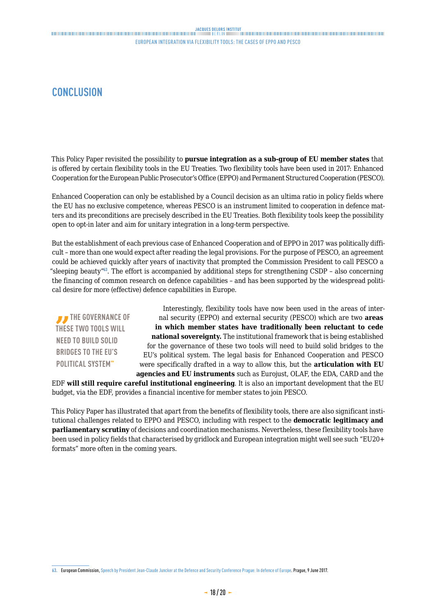# <span id="page-17-0"></span>**CONCLUSION**

This Policy Paper revisited the possibility to **pursue integration as a sub-group of EU member states** that is offered by certain flexibility tools in the EU Treaties. Two flexibility tools have been used in 2017: Enhanced Cooperation for the European Public Prosecutor's Office (EPPO) and Permanent Structured Cooperation (PESCO).

Enhanced Cooperation can only be established by a Council decision as an ultima ratio in policy fields where the EU has no exclusive competence, whereas PESCO is an instrument limited to cooperation in defence matters and its preconditions are precisely described in the EU Treaties. Both flexibility tools keep the possibility open to opt-in later and aim for unitary integration in a long-term perspective.

But the establishment of each previous case of Enhanced Cooperation and of EPPO in 2017 was politically difficult – more than one would expect after reading the legal provisions. For the purpose of PESCO, an agreement could be achieved quickly after years of inactivity that prompted the Commission President to call PESCO a "sleeping beauty"<sup>63</sup>. The effort is accompanied by additional steps for strengthening CSDP – also concerning the financing of common research on defence capabilities – and has been supported by the widespread political desire for more (effective) defence capabilities in Europe.

**THE GOVERNANCE OF THESE TWO TOOLS WILL NEED TO BUILD SOLID BRIDGES TO THE EU'S POLITICAL SYSTEM"**

Interestingly, flexibility tools have now been used in the areas of internal security (EPPO) and external security (PESCO) which are two **areas in which member states have traditionally been reluctant to cede national sovereignty.** The institutional framework that is being established for the governance of these two tools will need to build solid bridges to the EU's political system. The legal basis for Enhanced Cooperation and PESCO were specifically drafted in a way to allow this, but the **articulation with EU agencies and EU instruments** such as Eurojust, OLAF, the EDA, CARD and the

EDF **will still require careful institutional engineering**. It is also an important development that the EU budget, via the EDF, provides a financial incentive for member states to join PESCO.

This Policy Paper has illustrated that apart from the benefits of flexibility tools, there are also significant institutional challenges related to EPPO and PESCO, including with respect to the **democratic legitimacy and parliamentary scrutiny** of decisions and coordination mechanisms. Nevertheless, these flexibility tools have been used in policy fields that characterised by gridlock and European integration might well see such "EU20+ formats" more often in the coming years.

**<sup>63.</sup>** European Commission, [Speech by President Jean-Claude Juncker at the Defence and Security Conference Prague: In defence of Europe.](http://europa.eu/rapid/press-release_SPEECH-17-1581_en.htm) Prague, 9 June 2017.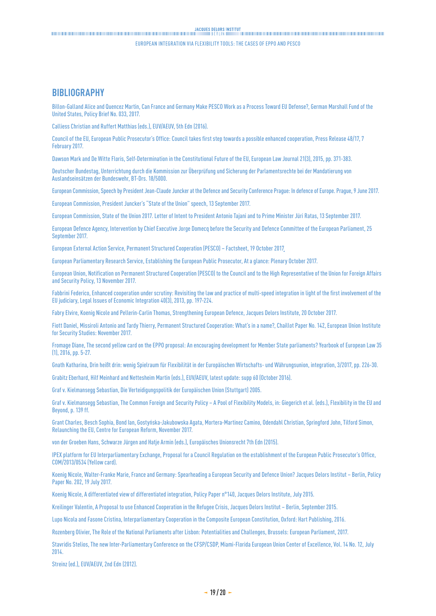# <span id="page-18-0"></span>

European Integration via flexibility tools: The cases of EPPO and PESCO

#### **BIBLIOGRAPHY**

Billon-Galland Alice and Quencez Martin, Can France and Germany Make PESCO Work as a Process Toward EU Defense?, German Marshall Fund of the United States, Policy Brief No. 033, 2017.

Calliess Christian and Ruffert Matthias (eds.), EUV/AEUV, 5th Edn (2016).

Council of the EU, European Public Prosecutor's Office: Council takes first step towards a possible enhanced cooperation, Press Release 48/17, 7 February 2017.

Dawson Mark and De Witte Floris, Self-Determination in the Constitutional Future of the EU, European Law Journal 21(3), 2015, pp. 371-383.

Deutscher Bundestag, Unterrichtung durch die Kommission zur Überprüfung und Sicherung der Parlamentsrechte bei der Mandatierung von Auslandseinsätzen der Bundeswehr, BT-Drs. 18/5000.

European Commission, Speech by President Jean-Claude Juncker at the Defence and Security Conference Prague: In defence of Europe. Prague, 9 June 2017.

European Commission, President Juncker's "State of the Union" speech, 13 September 2017.

European Commission, State of the Union 2017. Letter of Intent to President Antonio Tajani and to Prime Minister Jüri Ratas, 13 September 2017.

European Defence Agency, Intervention by Chief Executive Jorge Domecq before the Security and Defence Committee of the European Parliament, 25 September 2017.

European External Action Service, Permanent Structured Cooperation (PESCO) – Factsheet, 19 October 2017.

European Parliamentary Research Service, Establishing the European Public Prosecutor, At a glance: Plenary October 2017.

European Union, Notification on Permanent Structured Cooperation (PESCO) to the Council and to the High Representative of the Union for Foreign Affairs and Security Policy, 13 November 2017.

Fabbrini Federico, Enhanced cooperation under scrutiny: Revisiting the law and practice of multi-speed integration in light of the first involvement of the EU judiciary, Legal Issues of Economic Integration 40(3), 2013, pp. 197-224.

Fabry Elvire, Koenig Nicole and Pellerin-Carlin Thomas, Strengthening European Defence, Jacques Delors Institute, 20 October 2017.

Fiott Daniel, Missiroli Antonio and Tardy Thierry, Permanent Structured Cooperation: What's in a name?, Chaillot Paper No. 142, European Union Institute for Security Studies: November 2017.

Fromage Diane, The second yellow card on the EPPO proposal: An encouraging development for Member State parliaments? Yearbook of European Law 35 (1), 2016, pp. 5-27.

Gnath Katharina, Drin heißt drin: wenig Spielraum für Flexibilität in der Europäischen Wirtschafts- und Währungsunion, integration, 3/2017, pp. 226-30.

Grabitz Eberhard, Hilf Meinhard and Nettesheim Martin (eds.), EUV/AEUV, latest update: supp 60 (October 2016).

Graf v. Kielmansegg Sebastian, Die Verteidigungspolitik der Europäischen Union (Stuttgart) 2005.

Graf v. Kielmansegg Sebastian, The Common Foreign and Security Policy – A Pool of Flexibility Models, in: Giegerich et al. (eds.), Flexibility in the EU and Beyond, p. 139 ff.

Grant Charles, Besch Sophia, Bond Ian, Gostyńska-Jakubowska Agata, Mortera-Martinez Camino, Odendahl Christian, Springford John, Tilford Simon, Relaunching the EU, Centre for European Reform, November 2017.

von der Groeben Hans, Schwarze Jürgen and Hatje Armin (eds.), Europäisches Unionsrecht 7th Edn (2015).

IPEX platform for EU Interparliamentary Exchange, Proposal for a Council Regulation on the establishment of the European Public Prosecutor's Office, COM/2013/0534 (Yellow card).

Koenig Nicole, Walter-Franke Marie, France and Germany: Spearheading a European Security and Defence Union? Jacques Delors Institut – Berlin, Policy Paper No. 202, 19 July 2017.

Koenig Nicole, A differentiated view of differentiated integration, Policy Paper n°140, Jacques Delors Institute, July 2015.

Kreilinger Valentin, A Proposal to use Enhanced Cooperation in the Refugee Crisis, Jacques Delors Institut – Berlin, September 2015.

Lupo Nicola and Fasone Cristina, Interparliamentary Cooperation in the Composite European Constitution, Oxford: Hart Publishing, 2016.

Rozenberg Olivier, The Role of the National Parliaments after Lisbon: Potentialities and Challenges, Brussels: European Parliament, 2017.

Stavridis Stelios, The new Inter-Parliamentary Conference on the CFSP/CSDP, Miami-Florida European Union Center of Excellence, Vol. 14 No. 12, July 2014.

Streinz (ed.), EUV/AEUV, 2nd Edn (2012).